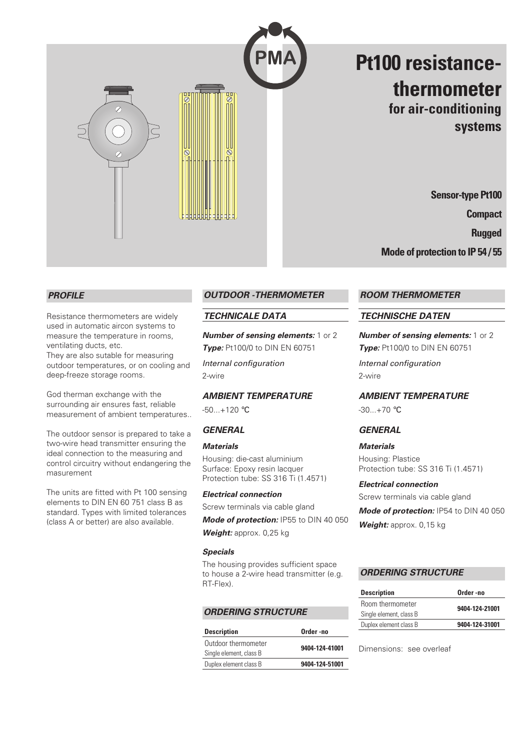

# **Pt100 resistancethermometer for air-conditioning systems**

**Sensor-type Pt100 Compact Rugged**

**Mode of protection to IP 54 / 55**

## *PROFILE*

Resistance thermometers are widely used in automatic aircon systems to measure the temperature in rooms, ventilating ducts, etc.

They are also sutable for measuring outdoor temperatures, or on cooling and deep-freeze storage rooms.

God therman exchange with the surrounding air ensures fast, reliable measurement of ambient temperatures..

The outdoor sensor is prepared to take a two-wire head transmitter ensuring the ideal connection to the measuring and control circuitry without endangering the masurement

The units are fitted with Pt 100 sensing elements to DIN EN 60 751 class B as standard. Types with limited tolerances (class A or better) are also available.

## *OUTDOOR -THERMOMETER*

## *TECHNICALE DATA*

*Number of sensing elements:* 1 or 2 **Type:** Pt100/0 to DIN EN 60751

*Internal configuration* 2-wire

## *AMBIENT TEMPERATURE*

 $-50...+120$  °C

## *GENERAL*

#### *Materials*

Housing: die-cast aluminium Surface: Epoxy resin lacquer Protection tube: SS 316 Ti (1.4571)

#### *Electrical connection*

Screw terminals via cable gland

*Mode of protection:* IP55 to DIN 40 050 *Weight:* approx. 0,25 kg

#### *Specials*

The housing provides sufficient space to house a 2-wire head transmitter (e.g. RT-Flex).

## *ORDERING STRUCTURE*

| <b>Description</b>      | Order-no       |
|-------------------------|----------------|
| Outdoor thermometer     | 9404-124-41001 |
| Single element, class B |                |
| Duplex element class B  | 9404-124-51001 |

## *ROOM THERMOMETER*

## *TECHNISCHE DATEN*

*Number of sensing elements:* 1 or 2 **Type:** Pt100/0 to DIN EN 60751 *Internal configuration* 2-wire

*AMBIENT TEMPERATURE*  $-30...+70$  °C

## *GENERAL*

*Materials* Housing: Plastice Protection tube: SS 316 Ti (1.4571)

#### *Electrical connection*

Screw terminals via cable gland *Mode of protection:* IP54 to DIN 40 050 *Weight:* approx. 0,15 kg

## *ORDERING STRUCTURE*

| Order -no      |
|----------------|
| 9404-124-21001 |
|                |
| 9404-124-31001 |
|                |

Dimensions: see overleaf